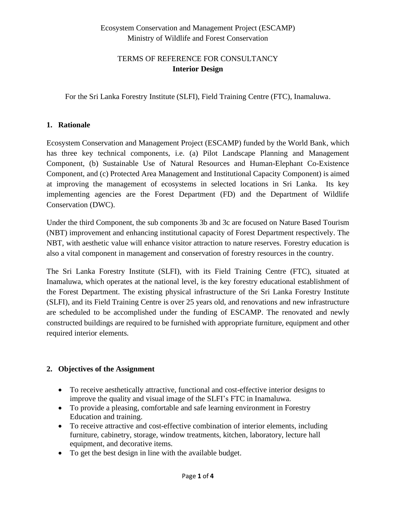## Ecosystem Conservation and Management Project (ESCAMP) Ministry of Wildlife and Forest Conservation

## TERMS OF REFERENCE FOR CONSULTANCY **Interior Design**

For the Sri Lanka Forestry Institute (SLFI), Field Training Centre (FTC), Inamaluwa.

## **1. Rationale**

Ecosystem Conservation and Management Project (ESCAMP) funded by the World Bank, which has three key technical components, i.e. (a) Pilot Landscape Planning and Management Component, (b) Sustainable Use of Natural Resources and Human-Elephant Co-Existence Component, and (c) Protected Area Management and Institutional Capacity Component) is aimed at improving the management of ecosystems in selected locations in Sri Lanka. Its key implementing agencies are the Forest Department (FD) and the Department of Wildlife Conservation (DWC).

Under the third Component, the sub components 3b and 3c are focused on Nature Based Tourism (NBT) improvement and enhancing institutional capacity of Forest Department respectively. The NBT, with aesthetic value will enhance visitor attraction to nature reserves. Forestry education is also a vital component in management and conservation of forestry resources in the country.

The Sri Lanka Forestry Institute (SLFI), with its Field Training Centre (FTC), situated at Inamaluwa, which operates at the national level, is the key forestry educational establishment of the Forest Department. The existing physical infrastructure of the Sri Lanka Forestry Institute (SLFI), and its Field Training Centre is over 25 years old, and renovations and new infrastructure are scheduled to be accomplished under the funding of ESCAMP. The renovated and newly constructed buildings are required to be furnished with appropriate furniture, equipment and other required interior elements.

### **2. Objectives of the Assignment**

- To receive aesthetically attractive, functional and cost-effective interior designs to improve the quality and visual image of the SLFI's FTC in Inamaluwa.
- To provide a pleasing, comfortable and safe learning environment in Forestry Education and training.
- To receive attractive and cost-effective combination of interior elements, including furniture, cabinetry, storage, window treatments, kitchen, laboratory, lecture hall equipment, and decorative items.
- To get the best design in line with the available budget.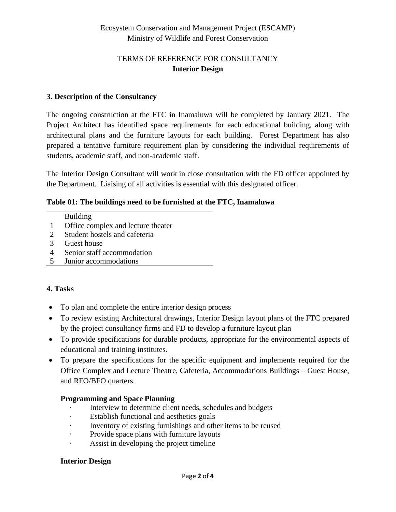## Ecosystem Conservation and Management Project (ESCAMP) Ministry of Wildlife and Forest Conservation

## TERMS OF REFERENCE FOR CONSULTANCY **Interior Design**

## **3. Description of the Consultancy**

The ongoing construction at the FTC in Inamaluwa will be completed by January 2021. The Project Architect has identified space requirements for each educational building, along with architectural plans and the furniture layouts for each building. Forest Department has also prepared a tentative furniture requirement plan by considering the individual requirements of students, academic staff, and non-academic staff.

The Interior Design Consultant will work in close consultation with the FD officer appointed by the Department. Liaising of all activities is essential with this designated officer.

### **Table 01: The buildings need to be furnished at the FTC, Inamaluwa**

|                       | <b>Building</b>                    |
|-----------------------|------------------------------------|
|                       | Office complex and lecture theater |
| $\mathcal{D}_{\cdot}$ | Student hostels and cafeteria      |
| 3                     | Guest house                        |
|                       | Senior staff accommodation         |
| 5                     | Junior accommodations              |

## **4. Tasks**

- To plan and complete the entire interior design process
- To review existing Architectural drawings, Interior Design layout plans of the FTC prepared by the project consultancy firms and FD to develop a furniture layout plan
- To provide specifications for durable products, appropriate for the environmental aspects of educational and training institutes.
- To prepare the specifications for the specific equipment and implements required for the Office Complex and Lecture Theatre, Cafeteria, Accommodations Buildings – Guest House, and RFO/BFO quarters.

### **Programming and Space Planning**

- · Interview to determine client needs, schedules and budgets
- · Establish functional and aesthetics goals
- Inventory of existing furnishings and other items to be reused
- · Provide space plans with furniture layouts
- · Assist in developing the project timeline

### **Interior Design**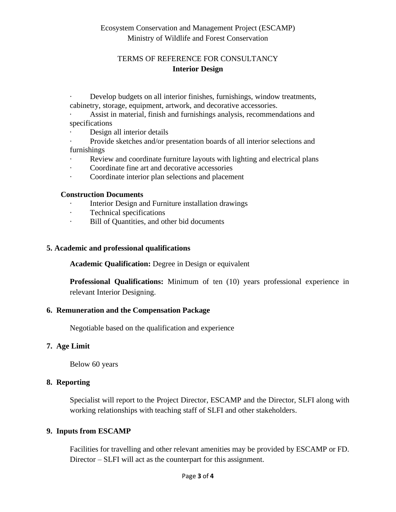## Ecosystem Conservation and Management Project (ESCAMP) Ministry of Wildlife and Forest Conservation

## TERMS OF REFERENCE FOR CONSULTANCY **Interior Design**

- Develop budgets on all interior finishes, furnishings, window treatments, cabinetry, storage, equipment, artwork, and decorative accessories.
- Assist in material, finish and furnishings analysis, recommendations and specifications
- Design all interior details
- · Provide sketches and/or presentation boards of all interior selections and furnishings
- · Review and coordinate furniture layouts with lighting and electrical plans
- · Coordinate fine art and decorative accessories
- · Coordinate interior plan selections and placement

#### **Construction Documents**

- · Interior Design and Furniture installation drawings
- · Technical specifications
- · Bill of Quantities, and other bid documents

#### **5. Academic and professional qualifications**

**Academic Qualification:** Degree in Design or equivalent

**Professional Qualifications:** Minimum of ten (10) years professional experience in relevant Interior Designing.

#### **6. Remuneration and the Compensation Package**

Negotiable based on the qualification and experience

### **7. Age Limit**

Below 60 years

#### **8. Reporting**

Specialist will report to the Project Director, ESCAMP and the Director, SLFI along with working relationships with teaching staff of SLFI and other stakeholders.

#### **9. Inputs from ESCAMP**

Facilities for travelling and other relevant amenities may be provided by ESCAMP or FD. Director – SLFI will act as the counterpart for this assignment.